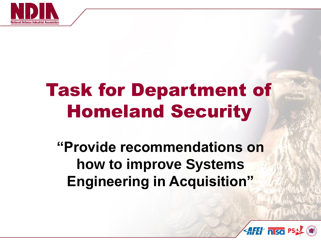

# Task for Department of Homeland Security

**"Provide recommendations on how to improve Systems Engineering in Acquisition"**

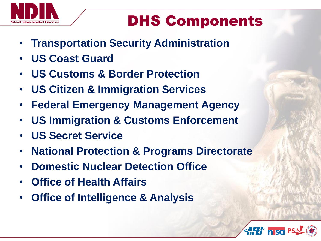

# DHS Components

- **Transportation Security Administration**
- **US Coast Guard**
- **US Customs & Border Protection**
- **US Citizen & Immigration Services**
- **Federal Emergency Management Agency**
- **US Immigration & Customs Enforcement**
- **US Secret Service**
- **National Protection & Programs Directorate**
- **Domestic Nuclear Detection Office**
- **Office of Health Affairs**
- **Office of Intelligence & Analysis**

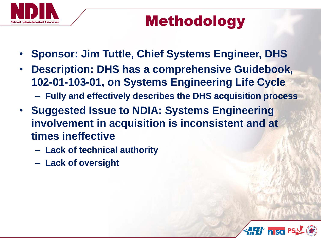

## Methodology

- **Sponsor: Jim Tuttle, Chief Systems Engineer, DHS**
- **Description: DHS has a comprehensive Guidebook, 102-01-103-01, on Systems Engineering Life Cycle**
	- **Fully and effectively describes the DHS acquisition process**
- **Suggested Issue to NDIA: Systems Engineering involvement in acquisition is inconsistent and at times ineffective**
	- **Lack of technical authority**
	- **Lack of oversight**

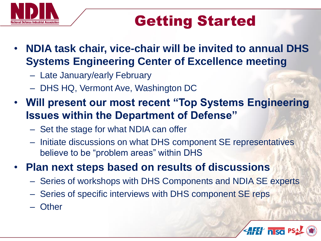

# Getting Started

- **NDIA task chair, vice-chair will be invited to annual DHS Systems Engineering Center of Excellence meeting**
	- Late January/early February
	- DHS HQ, Vermont Ave, Washington DC
- **Will present our most recent "Top Systems Engineering Issues within the Department of Defense"**
	- Set the stage for what NDIA can offer
	- Initiate discussions on what DHS component SE representatives believe to be "problem areas" within DHS
- **Plan next steps based on results of discussions**
	- Series of workshops with DHS Components and NDIA SE experts
	- Series of specific interviews with DHS component SE reps
	- Other

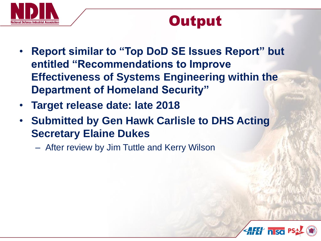

## Output

- **Report similar to "Top DoD SE Issues Report" but entitled "Recommendations to Improve Effectiveness of Systems Engineering within the Department of Homeland Security"**
- **Target release date: late 2018**
- **Submitted by Gen Hawk Carlisle to DHS Acting Secretary Elaine Dukes**
	- After review by Jim Tuttle and Kerry Wilson